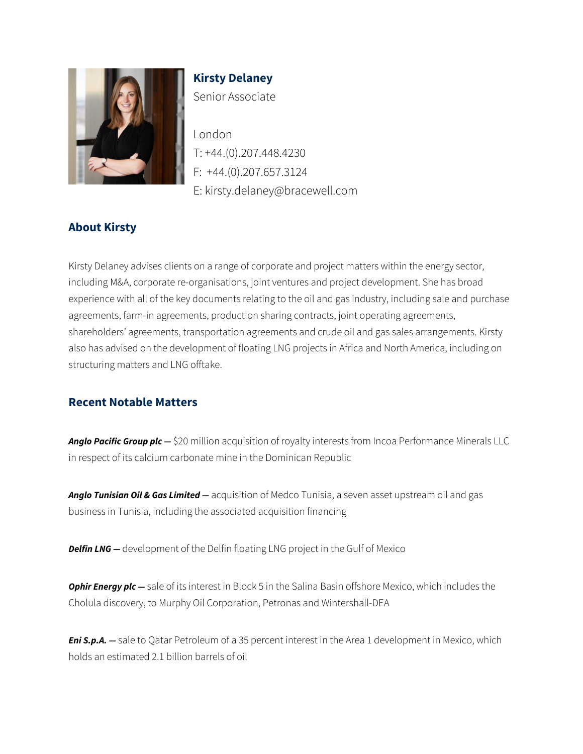

**Kirsty Delaney** Senior Associate

London T: +44.(0).207.448.4230 F: +44.(0).207.657.3124 E: kirsty.delaney@bracewell.com

# **About Kirsty**

Kirsty Delaney advises clients on a range of corporate and project matters within the energy sector, including M&A, corporate re-organisations, joint ventures and project development. She has broad experience with all of the key documents relating to the oil and gas industry, including sale and purchase agreements, farm-in agreements, production sharing contracts, joint operating agreements, shareholders' agreements, transportation agreements and crude oil and gas sales arrangements. Kirsty also has advised on the development of floating LNG projects in Africa and North America, including on structuring matters and LNG offtake.

### **Recent Notable Matters**

*Anglo Pacific Group plc —* \$20 million acquisition of royalty interests from Incoa Performance Minerals LLC in respect of its calcium carbonate mine in the Dominican Republic

*Anglo Tunisian Oil & Gas Limited —* acquisition of Medco Tunisia, a seven asset upstream oil and gas business in Tunisia, including the associated acquisition financing

**Delfin LNG** - development of the Delfin floating LNG project in the Gulf of Mexico

*Ophir Energy plc —* sale of its interest in Block 5 in the Salina Basin offshore Mexico, which includes the Cholula discovery, to Murphy Oil Corporation, Petronas and Wintershall-DEA

**Eni S.p.A.** – sale to Qatar Petroleum of a 35 percent interest in the Area 1 development in Mexico, which holds an estimated 2.1 billion barrels of oil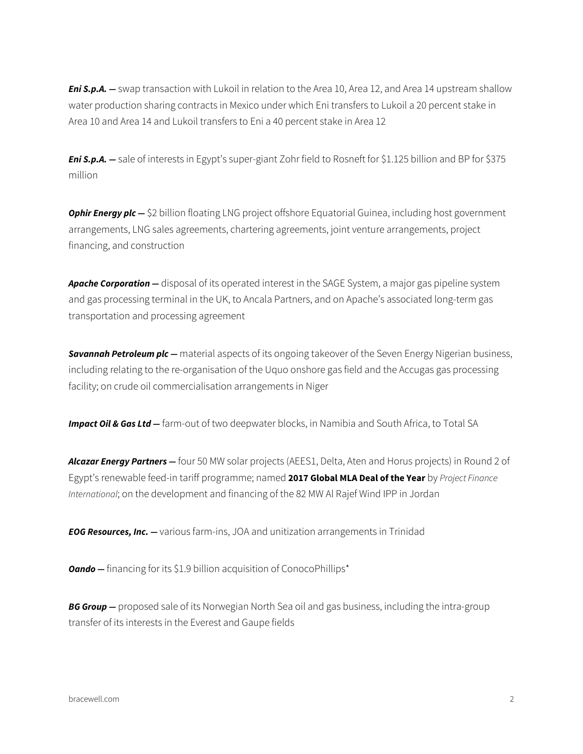*Eni S.p.A. —* swap transaction with Lukoil in relation to the Area 10, Area 12, and Area 14 upstream shallow water production sharing contracts in Mexico under which Eni transfers to Lukoil a 20 percent stake in Area 10 and Area 14 and Lukoil transfers to Eni a 40 percent stake in Area 12

*Eni S.p.A. —* sale of interests in Egypt's super-giant Zohr field to Rosneft for \$1.125 billion and BP for \$375 million

*Ophir Energy plc —* \$2 billion floating LNG project offshore Equatorial Guinea, including host government arrangements, LNG sales agreements, chartering agreements, joint venture arrangements, project financing, and construction

*Apache Corporation —* disposal of its operated interest in the SAGE System, a major gas pipeline system and gas processing terminal in the UK, to Ancala Partners, and on Apache's associated long-term gas transportation and processing agreement

*Savannah Petroleum plc —* material aspects of its ongoing takeover of the Seven Energy Nigerian business, including relating to the re-organisation of the Uquo onshore gas field and the Accugas gas processing facility; on crude oil commercialisation arrangements in Niger

**Impact Oil & Gas Ltd –** farm-out of two deepwater blocks, in Namibia and South Africa, to Total SA

*Alcazar Energy Partners —* four 50 MW solar projects (AEES1, Delta, Aten and Horus projects) in Round 2 of Egypt's renewable feed-in tariff programme; named **2017 Global MLA Deal of the Year** by *Project Finance International*; on the development and financing of the 82 MW Al Rajef Wind IPP in Jordan

*EOG Resources, Inc. —* various farm-ins, JOA and unitization arrangements in Trinidad

**Oando** – financing for its \$1.9 billion acquisition of ConocoPhillips<sup>\*</sup>

**BG Group** – proposed sale of its Norwegian North Sea oil and gas business, including the intra-group transfer of its interests in the Everest and Gaupe fields